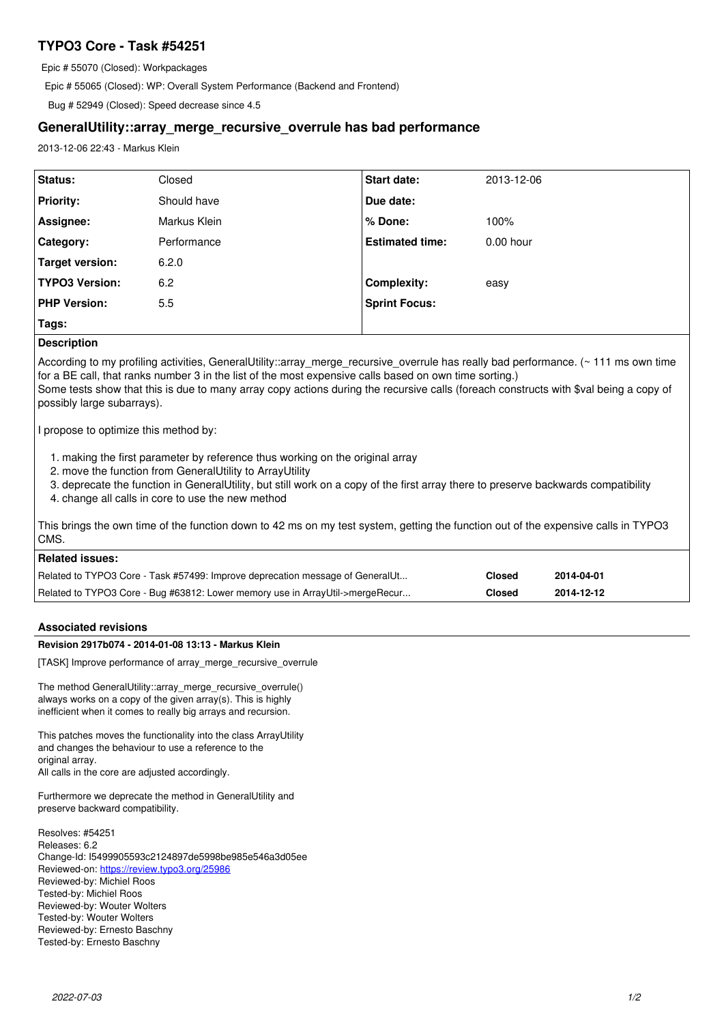# **TYPO3 Core - Task #54251**

Epic # 55070 (Closed): Workpackages

Epic # 55065 (Closed): WP: Overall System Performance (Backend and Frontend)

Bug # 52949 (Closed): Speed decrease since 4.5

# **GeneralUtility::array\_merge\_recursive\_overrule has bad performance**

2013-12-06 22:43 - Markus Klein

| <b>Status:</b>        | Closed       | <b>Start date:</b>     | 2013-12-06  |
|-----------------------|--------------|------------------------|-------------|
| <b>Priority:</b>      | Should have  | Due date:              |             |
| Assignee:             | Markus Klein | % Done:                | 100%        |
| Category:             | Performance  | <b>Estimated time:</b> | $0.00$ hour |
| Target version:       | 6.2.0        |                        |             |
| <b>TYPO3 Version:</b> | 6.2          | Complexity:            | easy        |
| <b>PHP Version:</b>   | 5.5          | <b>Sprint Focus:</b>   |             |
| Tags:                 |              |                        |             |

# **Description**

According to my profiling activities, GeneralUtility::array\_merge\_recursive\_overrule has really bad performance. (~ 111 ms own time for a BE call, that ranks number 3 in the list of the most expensive calls based on own time sorting.) Some tests show that this is due to many array copy actions during the recursive calls (foreach constructs with \$val being a copy of possibly large subarrays).

I propose to optimize this method by:

- 1. making the first parameter by reference thus working on the original array
- 2. move the function from GeneralUtility to ArrayUtility
- 3. deprecate the function in GeneralUtility, but still work on a copy of the first array there to preserve backwards compatibility
- 4. change all calls in core to use the new method

This brings the own time of the function down to 42 ms on my test system, getting the function out of the expensive calls in TYPO3 CMS.

| ∣ Related issues:                                                             |        |            |  |  |  |
|-------------------------------------------------------------------------------|--------|------------|--|--|--|
| Related to TYPO3 Core - Task #57499: Improve deprecation message of GeneralUt | Closed | 2014-04-01 |  |  |  |
| Related to TYPO3 Core - Bug #63812: Lower memory use in ArrayUtil->mergeRecur | Closed | 2014-12-12 |  |  |  |

## **Associated revisions**

## **Revision 2917b074 - 2014-01-08 13:13 - Markus Klein**

[TASK] Improve performance of array\_merge\_recursive\_overrule

The method GeneralUtility::array\_merge\_recursive\_overrule() always works on a copy of the given array(s). This is highly inefficient when it comes to really big arrays and recursion.

This patches moves the functionality into the class ArrayUtility and changes the behaviour to use a reference to the original array. All calls in the core are adjusted accordingly.

Furthermore we deprecate the method in GeneralUtility and preserve backward compatibility.

Resolves: #54251 Releases: 6.2 Change-Id: I5499905593c2124897de5998be985e546a3d05ee Reviewed-on:<https://review.typo3.org/25986> Reviewed-by: Michiel Roos Tested-by: Michiel Roos Reviewed-by: Wouter Wolters Tested-by: Wouter Wolters Reviewed-by: Ernesto Baschny Tested-by: Ernesto Baschny